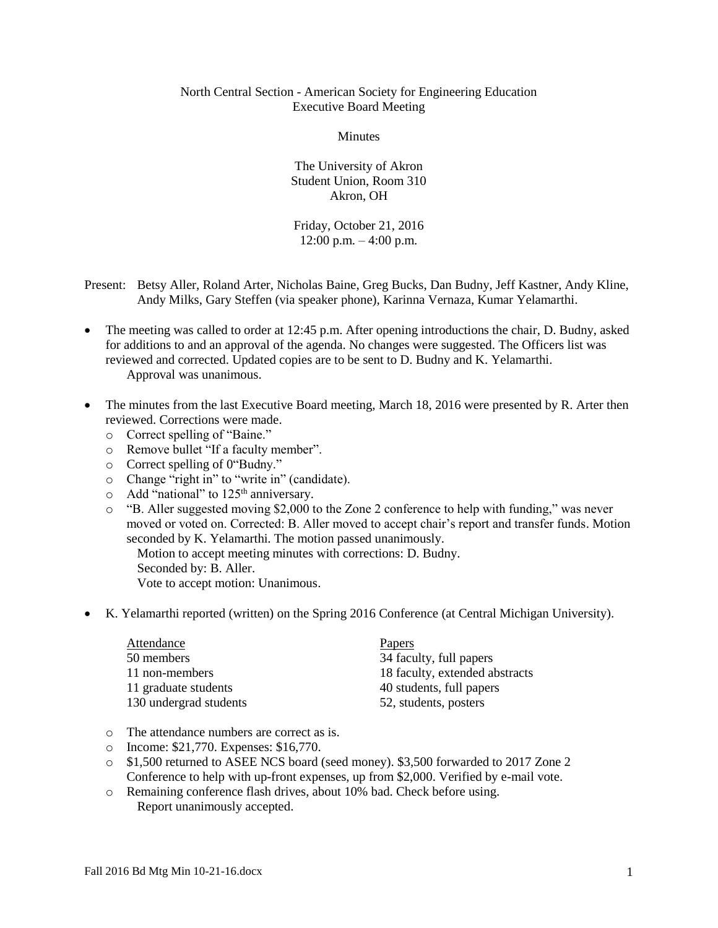## North Central Section - American Society for Engineering Education Executive Board Meeting

Minutes

The University of Akron Student Union, Room 310 Akron, OH

Friday, October 21, 2016  $12:00$  p.m.  $-4:00$  p.m.

- Present: Betsy Aller, Roland Arter, Nicholas Baine, Greg Bucks, Dan Budny, Jeff Kastner, Andy Kline, Andy Milks, Gary Steffen (via speaker phone), Karinna Vernaza, Kumar Yelamarthi.
- The meeting was called to order at 12:45 p.m. After opening introductions the chair, D. Budny, asked for additions to and an approval of the agenda. No changes were suggested. The Officers list was reviewed and corrected. Updated copies are to be sent to D. Budny and K. Yelamarthi. Approval was unanimous.
- The minutes from the last Executive Board meeting, March 18, 2016 were presented by R. Arter then reviewed. Corrections were made.
	- o Correct spelling of "Baine."
	- o Remove bullet "If a faculty member".
	- o Correct spelling of 0"Budny."
	- o Change "right in" to "write in" (candidate).
	- $\circ$  Add "national" to 125<sup>th</sup> anniversary.
	- o "B. Aller suggested moving \$2,000 to the Zone 2 conference to help with funding," was never moved or voted on. Corrected: B. Aller moved to accept chair's report and transfer funds. Motion seconded by K. Yelamarthi. The motion passed unanimously.

Motion to accept meeting minutes with corrections: D. Budny. Seconded by: B. Aller. Vote to accept motion: Unanimous.

• K. Yelamarthi reported (written) on the Spring 2016 Conference (at Central Michigan University).

| Attendance             | <b>Papers</b>                  |
|------------------------|--------------------------------|
| 50 members             | 34 faculty, full papers        |
| 11 non-members         | 18 faculty, extended abstracts |
| 11 graduate students   | 40 students, full papers       |
| 130 undergrad students | 52, students, posters          |

- o The attendance numbers are correct as is.
- o Income: \$21,770. Expenses: \$16,770.
- o \$1,500 returned to ASEE NCS board (seed money). \$3,500 forwarded to 2017 Zone 2 Conference to help with up-front expenses, up from \$2,000. Verified by e-mail vote.
- o Remaining conference flash drives, about 10% bad. Check before using. Report unanimously accepted.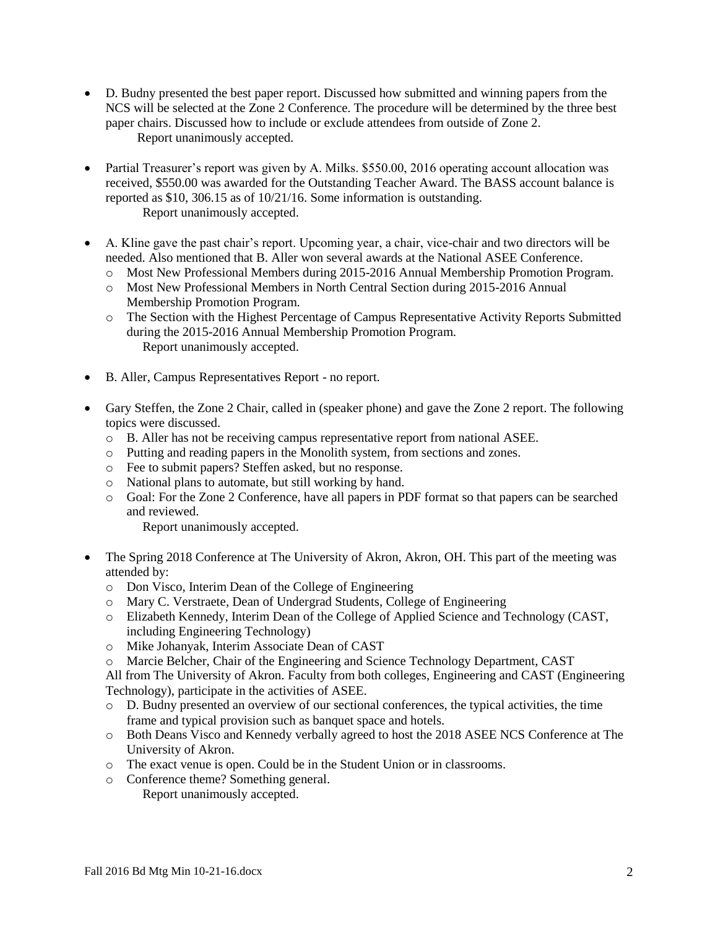- D. Budny presented the best paper report. Discussed how submitted and winning papers from the NCS will be selected at the Zone 2 Conference. The procedure will be determined by the three best paper chairs. Discussed how to include or exclude attendees from outside of Zone 2. Report unanimously accepted.
- Partial Treasurer's report was given by A. Milks. \$550.00, 2016 operating account allocation was received, \$550.00 was awarded for the Outstanding Teacher Award. The BASS account balance is reported as \$10, 306.15 as of 10/21/16. Some information is outstanding. Report unanimously accepted.
- A. Kline gave the past chair's report. Upcoming year, a chair, vice-chair and two directors will be needed. Also mentioned that B. Aller won several awards at the National ASEE Conference.
	- o Most New Professional Members during 2015-2016 Annual Membership Promotion Program.
	- o Most New Professional Members in North Central Section during 2015-2016 Annual Membership Promotion Program.
	- o The Section with the Highest Percentage of Campus Representative Activity Reports Submitted during the 2015-2016 Annual Membership Promotion Program. Report unanimously accepted.
- B. Aller, Campus Representatives Report no report.
- Gary Steffen, the Zone 2 Chair, called in (speaker phone) and gave the Zone 2 report. The following topics were discussed.
	- o B. Aller has not be receiving campus representative report from national ASEE.
	- o Putting and reading papers in the Monolith system, from sections and zones.
	- o Fee to submit papers? Steffen asked, but no response.
	- o National plans to automate, but still working by hand.
	- o Goal: For the Zone 2 Conference, have all papers in PDF format so that papers can be searched and reviewed.

Report unanimously accepted.

- The Spring 2018 Conference at The University of Akron, Akron, OH. This part of the meeting was attended by:
	- o Don Visco, Interim Dean of the College of Engineering
	- o Mary C. Verstraete, Dean of Undergrad Students, College of Engineering
	- o Elizabeth Kennedy, Interim Dean of the College of Applied Science and Technology (CAST, including Engineering Technology)
	- o Mike Johanyak, Interim Associate Dean of CAST
	- o Marcie Belcher, Chair of the Engineering and Science Technology Department, CAST

All from The University of Akron. Faculty from both colleges, Engineering and CAST (Engineering Technology), participate in the activities of ASEE.

- o D. Budny presented an overview of our sectional conferences, the typical activities, the time frame and typical provision such as banquet space and hotels.
- o Both Deans Visco and Kennedy verbally agreed to host the 2018 ASEE NCS Conference at The University of Akron.
- o The exact venue is open. Could be in the Student Union or in classrooms.
- o Conference theme? Something general. Report unanimously accepted.